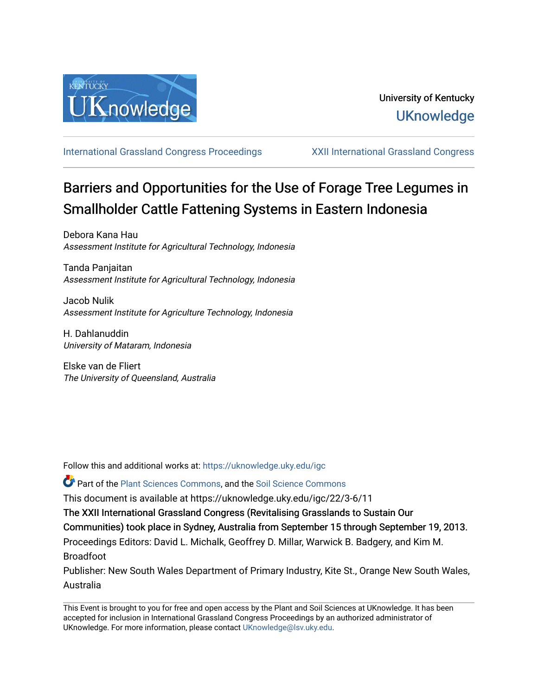

[International Grassland Congress Proceedings](https://uknowledge.uky.edu/igc) [XXII International Grassland Congress](https://uknowledge.uky.edu/igc/22) 

# Barriers and Opportunities for the Use of Forage Tree Legumes in Smallholder Cattle Fattening Systems in Eastern Indonesia

Debora Kana Hau Assessment Institute for Agricultural Technology, Indonesia

Tanda Panjaitan Assessment Institute for Agricultural Technology, Indonesia

Jacob Nulik Assessment Institute for Agriculture Technology, Indonesia

H. Dahlanuddin University of Mataram, Indonesia

Elske van de Fliert The University of Queensland, Australia

Follow this and additional works at: [https://uknowledge.uky.edu/igc](https://uknowledge.uky.edu/igc?utm_source=uknowledge.uky.edu%2Figc%2F22%2F3-6%2F11&utm_medium=PDF&utm_campaign=PDFCoverPages) 

**P** Part of the [Plant Sciences Commons](http://network.bepress.com/hgg/discipline/102?utm_source=uknowledge.uky.edu%2Figc%2F22%2F3-6%2F11&utm_medium=PDF&utm_campaign=PDFCoverPages), and the Soil Science Commons

This document is available at https://uknowledge.uky.edu/igc/22/3-6/11

The XXII International Grassland Congress (Revitalising Grasslands to Sustain Our

Communities) took place in Sydney, Australia from September 15 through September 19, 2013.

Proceedings Editors: David L. Michalk, Geoffrey D. Millar, Warwick B. Badgery, and Kim M. Broadfoot

Publisher: New South Wales Department of Primary Industry, Kite St., Orange New South Wales, Australia

This Event is brought to you for free and open access by the Plant and Soil Sciences at UKnowledge. It has been accepted for inclusion in International Grassland Congress Proceedings by an authorized administrator of UKnowledge. For more information, please contact [UKnowledge@lsv.uky.edu](mailto:UKnowledge@lsv.uky.edu).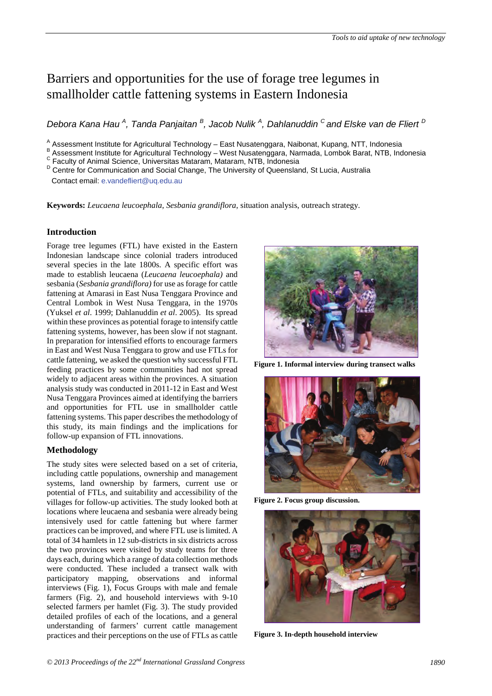# Barriers and opportunities for the use of forage tree legumes in smallholder cattle fattening systems in Eastern Indonesia

*Debora Kana Hau <sup>A</sup> , Tanda Panjaitan <sup>B</sup> , Jacob Nulik <sup>A</sup> , Dahlanuddin C and Elske van de Fliert <sup>D</sup>*

A Assessment Institute for Agricultural Technology – East Nusatenggara, Naibonat, Kupang, NTT, Indonesia<br>
B Assessment Institute for Agricultural Technology – West Nusatenggara, Narmada, Lombok Barat, NTB, Indonesia<br>
C Fa

**Keywords:** *Leucaena leucoephala*, *Sesbania grandiflora*, situation analysis, outreach strategy.

# **Introduction**

Forage tree legumes (FTL) have existed in the Eastern Indonesian landscape since colonial traders introduced several species in the late 1800s. A specific effort was made to establish leucaena (*Leucaena leucoephala)* and sesbania (*Sesbania grandiflora)* for use as forage for cattle fattening at Amarasi in East Nusa Tenggara Province and Central Lombok in West Nusa Tenggara, in the 1970s (Yuksel *et al*. 1999; Dahlanuddin *et al*. 2005). Its spread within these provinces as potential forage to intensify cattle fattening systems, however, has been slow if not stagnant. In preparation for intensified efforts to encourage farmers in East and West Nusa Tenggara to grow and use FTLs for cattle fattening, we asked the question why successful FTL feeding practices by some communities had not spread widely to adjacent areas within the provinces. A situation analysis study was conducted in 2011-12 in East and West Nusa Tenggara Provinces aimed at identifying the barriers and opportunities for FTL use in smallholder cattle fattening systems. This paper describes the methodology of this study, its main findings and the implications for follow-up expansion of FTL innovations.

# **Methodology**

The study sites were selected based on a set of criteria, including cattle populations, ownership and management systems, land ownership by farmers, current use or potential of FTLs, and suitability and accessibility of the villages for follow-up activities. The study looked both at locations where leucaena and sesbania were already being intensively used for cattle fattening but where farmer practices can be improved, and where FTL use is limited. A total of 34 hamlets in 12 sub-districts in six districts across the two provinces were visited by study teams for three days each, during which a range of data collection methods were conducted. These included a transect walk with participatory mapping, observations and informal interviews (Fig. 1), Focus Groups with male and female farmers (Fig. 2), and household interviews with 9-10 selected farmers per hamlet (Fig. 3). The study provided detailed profiles of each of the locations, and a general understanding of farmers' current cattle management practices and their perceptions on the use of FTLs as cattle



**Figure 1. Informal interview during transect walks**



**Figure 2. Focus group discussion.**



**Figure 3. In-depth household interview**